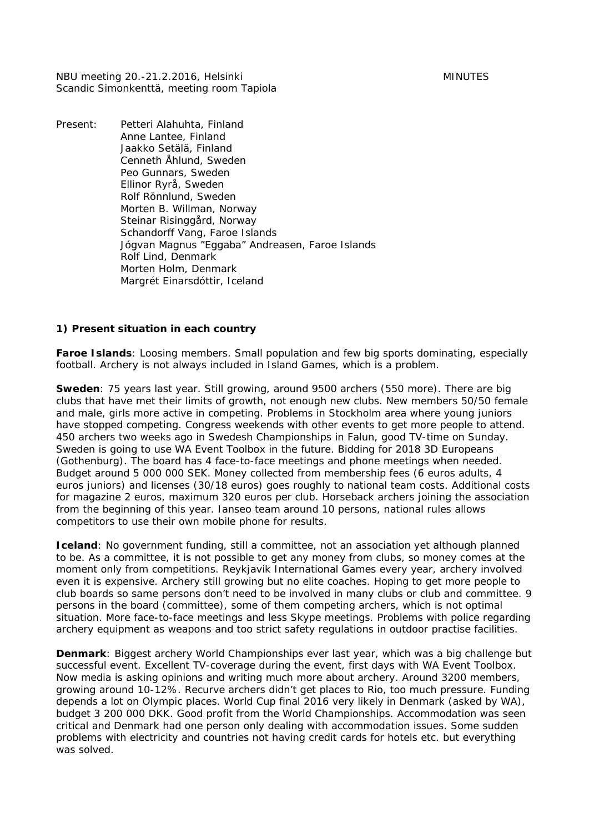NBU meeting 20.-21.2.2016, Helsinki MINUTES Scandic Simonkenttä, meeting room Tapiola

Present: Petteri Alahuhta, Finland Anne Lantee, Finland Jaakko Setälä, Finland Cenneth Åhlund, Sweden Peo Gunnars, Sweden Ellinor Ryrå, Sweden Rolf Rönnlund, Sweden Morten B. Willman, Norway Steinar Risinggård, Norway Schandorff Vang, Faroe Islands Jógvan Magnus "Eggaba" Andreasen, Faroe Islands Rolf Lind, Denmark Morten Holm, Denmark Margrét Einarsdóttir, Iceland

#### **1) Present situation in each country**

**Faroe Islands**: Loosing members. Small population and few big sports dominating, especially football. Archery is not always included in Island Games, which is a problem.

**Sweden**: 75 years last year. Still growing, around 9500 archers (550 more). There are big clubs that have met their limits of growth, not enough new clubs. New members 50/50 female and male, girls more active in competing. Problems in Stockholm area where young juniors have stopped competing. Congress weekends with other events to get more people to attend. 450 archers two weeks ago in Swedesh Championships in Falun, good TV-time on Sunday. Sweden is going to use WA Event Toolbox in the future. Bidding for 2018 3D Europeans (Gothenburg). The board has 4 face-to-face meetings and phone meetings when needed. Budget around 5 000 000 SEK. Money collected from membership fees (6 euros adults, 4 euros juniors) and licenses (30/18 euros) goes roughly to national team costs. Additional costs for magazine 2 euros, maximum 320 euros per club. Horseback archers joining the association from the beginning of this year. Ianseo team around 10 persons, national rules allows competitors to use their own mobile phone for results.

**Iceland**: No government funding, still a committee, not an association yet although planned to be. As a committee, it is not possible to get any money from clubs, so money comes at the moment only from competitions. Reykjavik International Games every year, archery involved even it is expensive. Archery still growing but no elite coaches. Hoping to get more people to club boards so same persons don't need to be involved in many clubs or club and committee. 9 persons in the board (committee), some of them competing archers, which is not optimal situation. More face-to-face meetings and less Skype meetings. Problems with police regarding archery equipment as weapons and too strict safety regulations in outdoor practise facilities.

**Denmark**: Biggest archery World Championships ever last year, which was a big challenge but successful event. Excellent TV-coverage during the event, first days with WA Event Toolbox. Now media is asking opinions and writing much more about archery. Around 3200 members, growing around 10-12%. Recurve archers didn't get places to Rio, too much pressure. Funding depends a lot on Olympic places. World Cup final 2016 very likely in Denmark (asked by WA), budget 3 200 000 DKK. Good profit from the World Championships. Accommodation was seen critical and Denmark had one person only dealing with accommodation issues. Some sudden problems with electricity and countries not having credit cards for hotels etc. but everything was solved.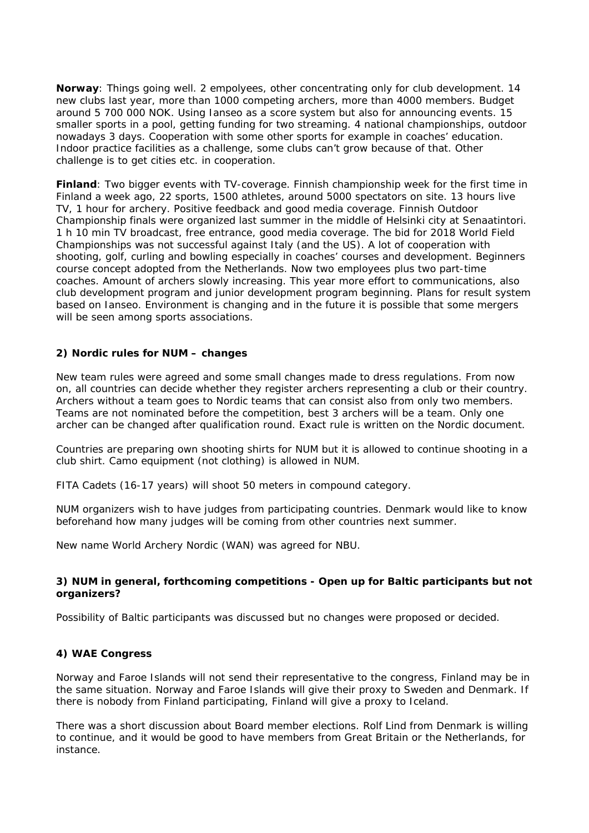**Norway**: Things going well. 2 empolyees, other concentrating only for club development. 14 new clubs last year, more than 1000 competing archers, more than 4000 members. Budget around 5 700 000 NOK. Using Ianseo as a score system but also for announcing events. 15 smaller sports in a pool, getting funding for two streaming. 4 national championships, outdoor nowadays 3 days. Cooperation with some other sports for example in coaches' education. Indoor practice facilities as a challenge, some clubs can't grow because of that. Other challenge is to get cities etc. in cooperation.

**Finland**: Two bigger events with TV-coverage. Finnish championship week for the first time in Finland a week ago, 22 sports, 1500 athletes, around 5000 spectators on site. 13 hours live TV, 1 hour for archery. Positive feedback and good media coverage. Finnish Outdoor Championship finals were organized last summer in the middle of Helsinki city at Senaatintori. 1 h 10 min TV broadcast, free entrance, good media coverage. The bid for 2018 World Field Championships was not successful against Italy (and the US). A lot of cooperation with shooting, golf, curling and bowling especially in coaches' courses and development. Beginners course concept adopted from the Netherlands. Now two employees plus two part-time coaches. Amount of archers slowly increasing. This year more effort to communications, also club development program and junior development program beginning. Plans for result system based on Ianseo. Environment is changing and in the future it is possible that some mergers will be seen among sports associations.

## **2) Nordic rules for NUM – changes**

New team rules were agreed and some small changes made to dress regulations. From now on, all countries can decide whether they register archers representing a club or their country. Archers without a team goes to Nordic teams that can consist also from only two members. Teams are not nominated before the competition, best 3 archers will be a team. Only one archer can be changed after qualification round. Exact rule is written on the Nordic document.

Countries are preparing own shooting shirts for NUM but it is allowed to continue shooting in a club shirt. Camo equipment (not clothing) is allowed in NUM.

FITA Cadets (16-17 years) will shoot 50 meters in compound category.

NUM organizers wish to have judges from participating countries. Denmark would like to know beforehand how many judges will be coming from other countries next summer.

New name World Archery Nordic (WAN) was agreed for NBU.

## **3) NUM in general, forthcoming competitions - Open up for Baltic participants but not organizers?**

Possibility of Baltic participants was discussed but no changes were proposed or decided.

## **4) WAE Congress**

Norway and Faroe Islands will not send their representative to the congress, Finland may be in the same situation. Norway and Faroe Islands will give their proxy to Sweden and Denmark. If there is nobody from Finland participating, Finland will give a proxy to Iceland.

There was a short discussion about Board member elections. Rolf Lind from Denmark is willing to continue, and it would be good to have members from Great Britain or the Netherlands, for instance.